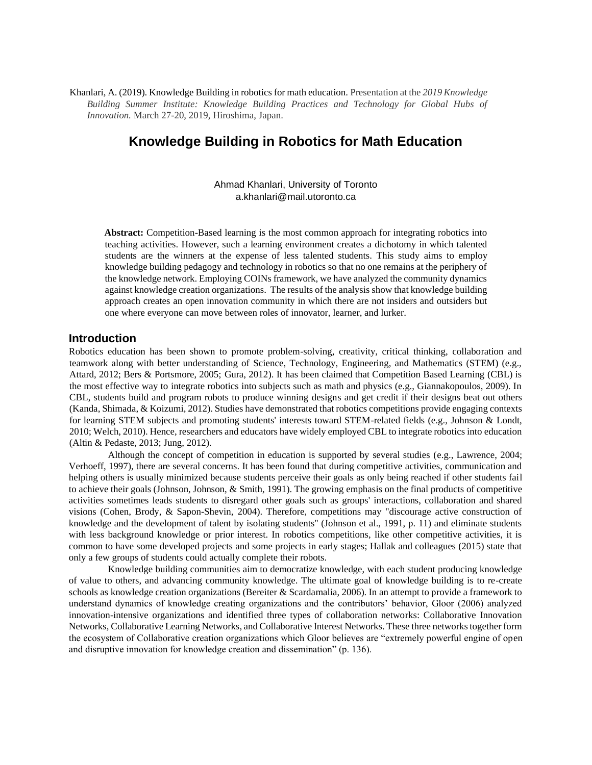Khanlari, A. (2019). Knowledge Building in robotics for math education. Presentation at the *2019 Knowledge Building Summer Institute: Knowledge Building Practices and Technology for Global Hubs of Innovation.* March 27-20, 2019, Hiroshima, Japan.

# **Knowledge Building in Robotics for Math Education**

Ahmad Khanlari, University of Toronto a.khanlari@mail.utoronto.ca

Abstract: Competition-Based learning is the most common approach for integrating robotics into teaching activities. However, such a learning environment creates a dichotomy in which talented students are the winners at the expense of less talented students. This study aims to employ knowledge building pedagogy and technology in robotics so that no one remains at the periphery of the knowledge network. Employing COINs framework, we have analyzed the community dynamics against knowledge creation organizations. The results of the analysis show that knowledge building approach creates an open innovation community in which there are not insiders and outsiders but one where everyone can move between roles of innovator, learner, and lurker.

#### **Introduction**

Robotics education has been shown to promote problem-solving, creativity, critical thinking, collaboration and teamwork along with better understanding of Science, Technology, Engineering, and Mathematics (STEM) (e.g., Attard, 2012; Bers & Portsmore, 2005; Gura, 2012). It has been claimed that Competition Based Learning (CBL) is the most effective way to integrate robotics into subjects such as math and physics (e.g., Giannakopoulos, 2009). In CBL, students build and program robots to produce winning designs and get credit if their designs beat out others (Kanda, Shimada, & Koizumi, 2012). Studies have demonstrated that robotics competitions provide engaging contexts for learning STEM subjects and promoting students' interests toward STEM-related fields (e.g., Johnson & Londt, 2010; Welch, 2010). Hence, researchers and educators have widely employed CBL to integrate robotics into education (Altin & Pedaste, 2013; Jung, 2012).

Although the concept of competition in education is supported by several studies (e.g., Lawrence, 2004; Verhoeff, 1997), there are several concerns. It has been found that during competitive activities, communication and helping others is usually minimized because students perceive their goals as only being reached if other students fail to achieve their goals (Johnson, Johnson, & Smith, 1991). The growing emphasis on the final products of competitive activities sometimes leads students to disregard other goals such as groups' interactions, collaboration and shared visions (Cohen, Brody, & Sapon-Shevin, 2004). Therefore, competitions may "discourage active construction of knowledge and the development of talent by isolating students" (Johnson et al., 1991, p. 11) and eliminate students with less background knowledge or prior interest. In robotics competitions, like other competitive activities, it is common to have some developed projects and some projects in early stages; Hallak and colleagues (2015) state that only a few groups of students could actually complete their robots.

Knowledge building communities aim to democratize knowledge, with each student producing knowledge of value to others, and advancing community knowledge. The ultimate goal of knowledge building is to re-create schools as knowledge creation organizations (Bereiter & Scardamalia, 2006). In an attempt to provide a framework to understand dynamics of knowledge creating organizations and the contributors' behavior, Gloor (2006) analyzed innovation-intensive organizations and identified three types of collaboration networks: Collaborative Innovation Networks, Collaborative Learning Networks, and Collaborative Interest Networks. These three networks together form the ecosystem of Collaborative creation organizations which Gloor believes are "extremely powerful engine of open and disruptive innovation for knowledge creation and dissemination" (p. 136).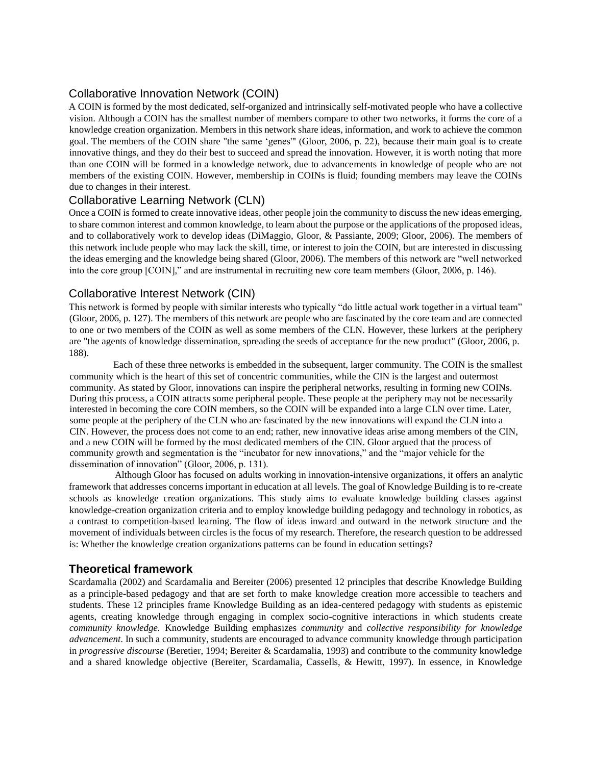## Collaborative Innovation Network (COIN)

A COIN is formed by the most dedicated, self-organized and intrinsically self-motivated people who have a collective vision. Although a COIN has the smallest number of members compare to other two networks, it forms the core of a knowledge creation organization. Members in this network share ideas, information, and work to achieve the common goal. The members of the COIN share "the same 'genes'" (Gloor, 2006, p. 22), because their main goal is to create innovative things, and they do their best to succeed and spread the innovation. However, it is worth noting that more than one COIN will be formed in a knowledge network, due to advancements in knowledge of people who are not members of the existing COIN. However, membership in COINs is fluid; founding members may leave the COINs due to changes in their interest.

### Collaborative Learning Network (CLN)

Once a COIN is formed to create innovative ideas, other people join the community to discuss the new ideas emerging, to share common interest and common knowledge, to learn about the purpose or the applications of the proposed ideas, and to collaboratively work to develop ideas (DiMaggio, Gloor, & Passiante, 2009; Gloor, 2006). The members of this network include people who may lack the skill, time, or interest to join the COIN, but are interested in discussing the ideas emerging and the knowledge being shared (Gloor, 2006). The members of this network are "well networked into the core group [COIN]," and are instrumental in recruiting new core team members (Gloor, 2006, p. 146).

### Collaborative Interest Network (CIN)

This network is formed by people with similar interests who typically "do little actual work together in a virtual team" (Gloor, 2006, p. 127). The members of this network are people who are fascinated by the core team and are connected to one or two members of the COIN as well as some members of the CLN. However, these lurkers at the periphery are "the agents of knowledge dissemination, spreading the seeds of acceptance for the new product" (Gloor, 2006, p. 188).

Each of these three networks is embedded in the subsequent, larger community. The COIN is the smallest community which is the heart of this set of concentric communities, while the CIN is the largest and outermost community. As stated by Gloor, innovations can inspire the peripheral networks, resulting in forming new COINs. During this process, a COIN attracts some peripheral people. These people at the periphery may not be necessarily interested in becoming the core COIN members, so the COIN will be expanded into a large CLN over time. Later, some people at the periphery of the CLN who are fascinated by the new innovations will expand the CLN into a CIN. However, the process does not come to an end; rather, new innovative ideas arise among members of the CIN, and a new COIN will be formed by the most dedicated members of the CIN. Gloor argued that the process of community growth and segmentation is the "incubator for new innovations," and the "major vehicle for the dissemination of innovation" (Gloor, 2006, p. 131).

Although Gloor has focused on adults working in innovation-intensive organizations, it offers an analytic framework that addresses concerns important in education at all levels. The goal of Knowledge Building is to re-create schools as knowledge creation organizations. This study aims to evaluate knowledge building classes against knowledge-creation organization criteria and to employ knowledge building pedagogy and technology in robotics, as a contrast to competition-based learning. The flow of ideas inward and outward in the network structure and the movement of individuals between circles is the focus of my research. Therefore, the research question to be addressed is: Whether the knowledge creation organizations patterns can be found in education settings?

### **Theoretical framework**

Scardamalia (2002) and Scardamalia and Bereiter (2006) presented 12 principles that describe Knowledge Building as a principle-based pedagogy and that are set forth to make knowledge creation more accessible to teachers and students. These 12 principles frame Knowledge Building as an idea-centered pedagogy with students as epistemic agents, creating knowledge through engaging in complex socio-cognitive interactions in which students create *community knowledge.* Knowledge Building emphasizes *community* and *collective responsibility for knowledge advancement*. In such a community, students are encouraged to advance community knowledge through participation in *progressive discourse* (Beretier, 1994; Bereiter & Scardamalia, 1993) and contribute to the community knowledge and a shared knowledge objective (Bereiter, Scardamalia, Cassells, & Hewitt, 1997). In essence, in Knowledge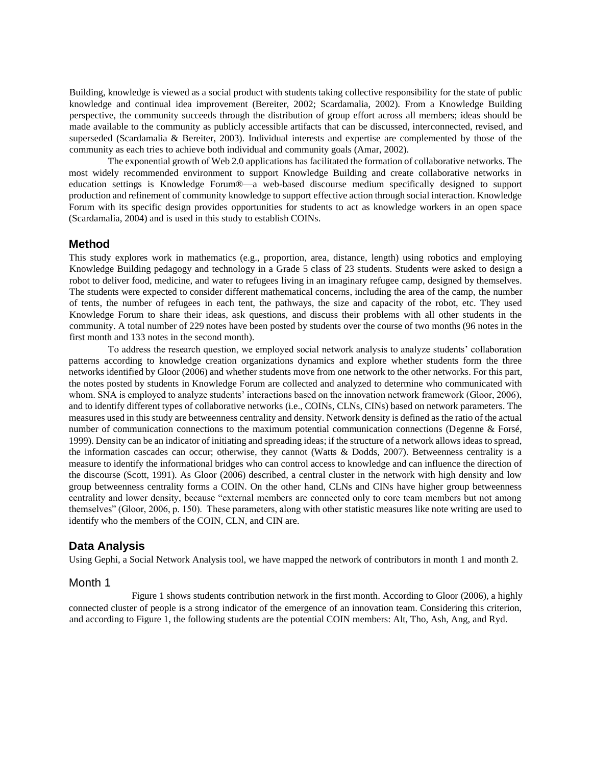Building, knowledge is viewed as a social product with students taking collective responsibility for the state of public knowledge and continual idea improvement (Bereiter, 2002; Scardamalia, 2002). From a Knowledge Building perspective, the community succeeds through the distribution of group effort across all members; ideas should be made available to the community as publicly accessible artifacts that can be discussed, interconnected, revised, and superseded (Scardamalia & Bereiter, 2003). Individual interests and expertise are complemented by those of the community as each tries to achieve both individual and community goals (Amar, 2002).

The exponential growth of Web 2.0 applications has facilitated the formation of collaborative networks. The most widely recommended environment to support Knowledge Building and create collaborative networks in education settings is Knowledge Forum®—a web-based discourse medium specifically designed to support production and refinement of community knowledge to support effective action through social interaction. Knowledge Forum with its specific design provides opportunities for students to act as knowledge workers in an open space (Scardamalia, 2004) and is used in this study to establish COINs.

#### **Method**

This study explores work in mathematics (e.g., proportion, area, distance, length) using robotics and employing Knowledge Building pedagogy and technology in a Grade 5 class of 23 students. Students were asked to design a robot to deliver food, medicine, and water to refugees living in an imaginary refugee camp, designed by themselves. The students were expected to consider different mathematical concerns, including the area of the camp, the number of tents, the number of refugees in each tent, the pathways, the size and capacity of the robot, etc. They used Knowledge Forum to share their ideas, ask questions, and discuss their problems with all other students in the community. A total number of 229 notes have been posted by students over the course of two months (96 notes in the first month and 133 notes in the second month).

To address the research question, we employed social network analysis to analyze students' collaboration patterns according to knowledge creation organizations dynamics and explore whether students form the three networks identified by Gloor (2006) and whether students move from one network to the other networks. For this part, the notes posted by students in Knowledge Forum are collected and analyzed to determine who communicated with whom. SNA is employed to analyze students' interactions based on the innovation network framework (Gloor, 2006), and to identify different types of collaborative networks (i.e., COINs, CLNs, CINs) based on network parameters. The measures used in this study are betweenness centrality and density. Network density is defined as the ratio of the actual number of communication connections to the maximum potential communication connections (Degenne & Forsé, 1999). Density can be an indicator of initiating and spreading ideas; if the structure of a network allows ideas to spread, the information cascades can occur; otherwise, they cannot (Watts & Dodds, 2007). Betweenness centrality is a measure to identify the informational bridges who can control access to knowledge and can influence the direction of the discourse (Scott, 1991). As Gloor (2006) described, a central cluster in the network with high density and low group betweenness centrality forms a COIN. On the other hand, CLNs and CINs have higher group betweenness centrality and lower density, because "external members are connected only to core team members but not among themselves" (Gloor, 2006, p. 150). These parameters, along with other statistic measures like note writing are used to identify who the members of the COIN, CLN, and CIN are.

#### **Data Analysis**

Using Gephi, a Social Network Analysis tool, we have mapped the network of contributors in month 1 and month 2.

#### Month 1

Figure 1 shows students contribution network in the first month. According to Gloor (2006), a highly connected cluster of people is a strong indicator of the emergence of an innovation team. Considering this criterion, and according to Figure 1, the following students are the potential COIN members: Alt, Tho, Ash, Ang, and Ryd.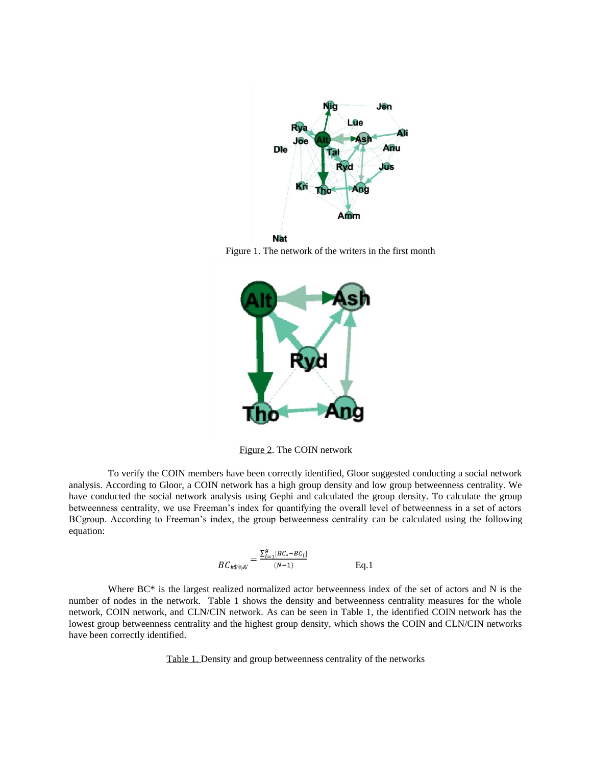

Figure 1. The network of the writers in the first month



Figure 2. The COIN network

To verify the COIN members have been correctly identified, Gloor suggested conducting a social network analysis. According to Gloor, a COIN network has a high group density and low group betweenness centrality. We have conducted the social network analysis using Gephi and calculated the group density. To calculate the group betweenness centrality, we use Freeman's index for quantifying the overall level of betweenness in a set of actors BCgroup. According to Freeman's index, the group betweenness centrality can be calculated using the following equation:

$$
BC_{\#\$\% @'} = \frac{\sum_{i=1}^{g} [BC_{*} - BC_{i}]}{(N-1)}
$$
 Eq. 1

Where BC\* is the largest realized normalized actor betweenness index of the set of actors and N is the number of nodes in the network. Table 1 shows the density and betweenness centrality measures for the whole network, COIN network, and CLN/CIN network. As can be seen in Table 1, the identified COIN network has the lowest group betweenness centrality and the highest group density, which shows the COIN and CLN/CIN networks have been correctly identified.

Table 1. Density and group betweenness centrality of the networks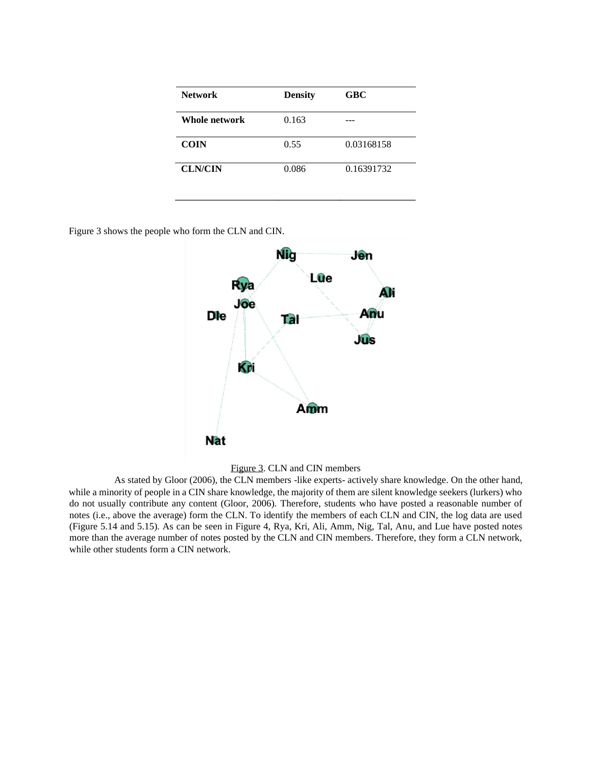| <b>Network</b> | <b>Density</b> | <b>GBC</b> |
|----------------|----------------|------------|
| Whole network  | 0.163          |            |
| <b>COIN</b>    | 0.55           | 0.03168158 |
| <b>CLN/CIN</b> | 0.086          | 0.16391732 |

Figure 3 shows the people who form the CLN and CIN.





As stated by Gloor (2006), the CLN members -like experts- actively share knowledge. On the other hand, while a minority of people in a CIN share knowledge, the majority of them are silent knowledge seekers (lurkers) who do not usually contribute any content (Gloor, 2006). Therefore, students who have posted a reasonable number of notes (i.e., above the average) form the CLN. To identify the members of each CLN and CIN, the log data are used (Figure 5.14 and 5.15). As can be seen in Figure 4, Rya, Kri, Ali, Amm, Nig, Tal, Anu, and Lue have posted notes more than the average number of notes posted by the CLN and CIN members. Therefore, they form a CLN network, while other students form a CIN network.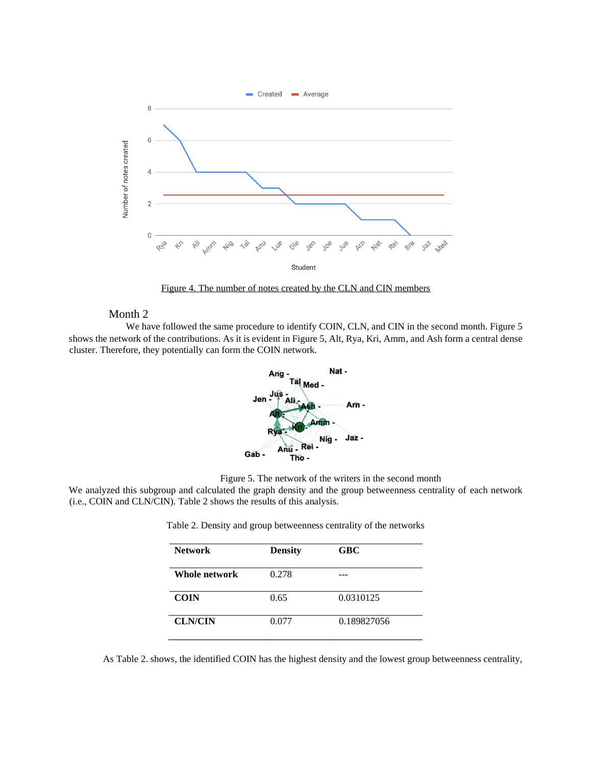

Figure 4. The number of notes created by the CLN and CIN members

#### Month 2

We have followed the same procedure to identify COIN, CLN, and CIN in the second month. Figure 5 shows the network of the contributions. As it is evident in Figure 5, Alt, Rya, Kri, Amm, and Ash form a central dense cluster. Therefore, they potentially can form the COIN network.



Figure 5. The network of the writers in the second month

We analyzed this subgroup and calculated the graph density and the group betweenness centrality of each network (i.e., COIN and CLN/CIN). Table 2 shows the results of this analysis.

| <b>Network</b> | <b>Density</b> | <b>GBC</b>  |
|----------------|----------------|-------------|
|                |                |             |
| Whole network  | 0.278          |             |
|                |                |             |
| <b>COIN</b>    | 0.65           | 0.0310125   |
|                |                |             |
| <b>CLN/CIN</b> | 0.077          | 0.189827056 |
|                |                |             |

Table 2. Density and group betweenness centrality of the networks

As Table 2. shows, the identified COIN has the highest density and the lowest group betweenness centrality,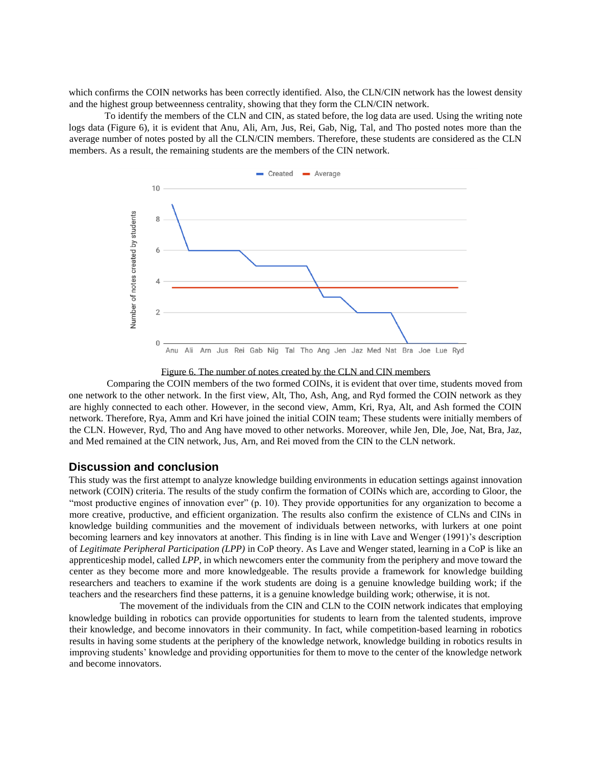which confirms the COIN networks has been correctly identified. Also, the CLN/CIN network has the lowest density and the highest group betweenness centrality, showing that they form the CLN/CIN network.

To identify the members of the CLN and CIN, as stated before, the log data are used. Using the writing note logs data (Figure 6), it is evident that Anu, Ali, Arn, Jus, Rei, Gab, Nig, Tal, and Tho posted notes more than the average number of notes posted by all the CLN/CIN members. Therefore, these students are considered as the CLN members. As a result, the remaining students are the members of the CIN network.



Figure 6. The number of notes created by the CLN and CIN members

Comparing the COIN members of the two formed COINs, it is evident that over time, students moved from one network to the other network. In the first view, Alt, Tho, Ash, Ang, and Ryd formed the COIN network as they are highly connected to each other. However, in the second view, Amm, Kri, Rya, Alt, and Ash formed the COIN network. Therefore, Rya, Amm and Kri have joined the initial COIN team; These students were initially members of the CLN. However, Ryd, Tho and Ang have moved to other networks. Moreover, while Jen, Dle, Joe, Nat, Bra, Jaz, and Med remained at the CIN network, Jus, Arn, and Rei moved from the CIN to the CLN network.

### **Discussion and conclusion**

This study was the first attempt to analyze knowledge building environments in education settings against innovation network (COIN) criteria. The results of the study confirm the formation of COINs which are, according to Gloor, the "most productive engines of innovation ever" (p. 10). They provide opportunities for any organization to become a more creative, productive, and efficient organization. The results also confirm the existence of CLNs and CINs in knowledge building communities and the movement of individuals between networks, with lurkers at one point becoming learners and key innovators at another. This finding is in line with Lave and Wenger (1991)'s description of *Legitimate Peripheral Participation (LPP)* in CoP theory. As Lave and Wenger stated, learning in a CoP is like an apprenticeship model, called *LPP*, in which newcomers enter the community from the periphery and move toward the center as they become more and more knowledgeable. The results provide a framework for knowledge building researchers and teachers to examine if the work students are doing is a genuine knowledge building work; if the teachers and the researchers find these patterns, it is a genuine knowledge building work; otherwise, it is not.

The movement of the individuals from the CIN and CLN to the COIN network indicates that employing knowledge building in robotics can provide opportunities for students to learn from the talented students, improve their knowledge, and become innovators in their community. In fact, while competition-based learning in robotics results in having some students at the periphery of the knowledge network, knowledge building in robotics results in improving students' knowledge and providing opportunities for them to move to the center of the knowledge network and become innovators.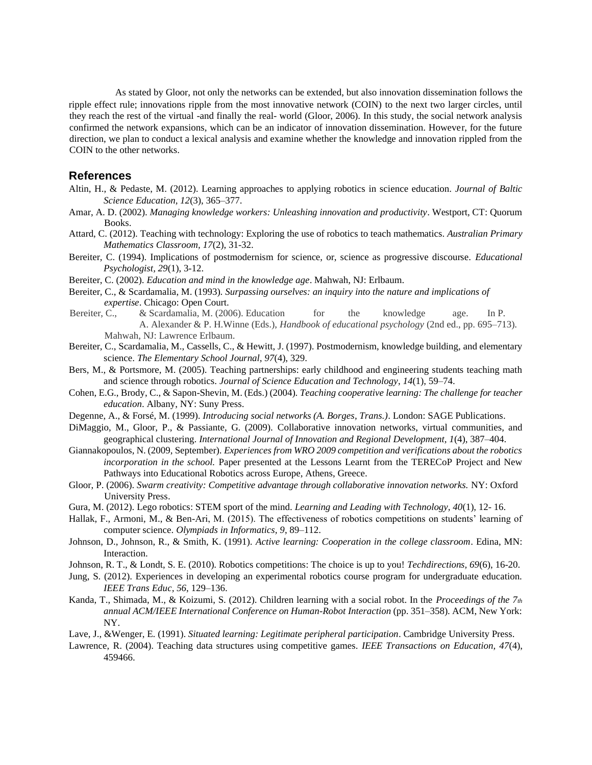As stated by Gloor, not only the networks can be extended, but also innovation dissemination follows the ripple effect rule; innovations ripple from the most innovative network (COIN) to the next two larger circles, until they reach the rest of the virtual -and finally the real- world (Gloor, 2006). In this study, the social network analysis confirmed the network expansions, which can be an indicator of innovation dissemination. However, for the future direction, we plan to conduct a lexical analysis and examine whether the knowledge and innovation rippled from the COIN to the other networks.

#### **References**

- Altin, H., & Pedaste, M. (2012). Learning approaches to applying robotics in science education. *Journal of Baltic Science Education, 12*(3), 365–377.
- Amar, A. D. (2002). *Managing knowledge workers: Unleashing innovation and productivity*. Westport, CT: Quorum Books.
- Attard, C. (2012). Teaching with technology: Exploring the use of robotics to teach mathematics. *Australian Primary Mathematics Classroom, 17*(2), 31-32.
- Bereiter, C. (1994). Implications of postmodernism for science, or, science as progressive discourse. *Educational Psychologist, 29*(1), 3-12.
- Bereiter, C. (2002). *Education and mind in the knowledge age*. Mahwah, NJ: Erlbaum.
- Bereiter, C., & Scardamalia, M. (1993). *Surpassing ourselves: an inquiry into the nature and implications of expertise*. Chicago: Open Court.
- Bereiter, C., & Scardamalia, M. (2006). Education for the knowledge age. In P. A. Alexander & P. H.Winne (Eds.), *Handbook of educational psychology* (2nd ed., pp. 695–713). Mahwah, NJ: Lawrence Erlbaum.
- Bereiter, C., Scardamalia, M., Cassells, C., & Hewitt, J. (1997). Postmodernism, knowledge building, and elementary science. *The Elementary School Journal, 97*(4), 329.
- Bers, M., & Portsmore, M. (2005). Teaching partnerships: early childhood and engineering students teaching math and science through robotics. *Journal of Science Education and Technology*, *14*(1), 59–74.
- Cohen, E.G., Brody, C., & Sapon-Shevin, M. (Eds.) (2004). *Teaching cooperative learning: The challenge for teacher education*. Albany, NY: Suny Press.
- Degenne, A., & Forsé, M. (1999). *Introducing social networks (A. Borges, Trans.)*. London: SAGE Publications.
- DiMaggio, M., Gloor, P., & Passiante, G. (2009). Collaborative innovation networks, virtual communities, and geographical clustering. *International Journal of Innovation and Regional Development, 1*(4), 387–404.
- Giannakopoulos, N. (2009, September). *Experiences from WRO 2009 competition and verifications about the robotics incorporation in the school.* Paper presented at the Lessons Learnt from the TERECoP Project and New Pathways into Educational Robotics across Europe, Athens, Greece.
- Gloor, P. (2006). *Swarm creativity: Competitive advantage through collaborative innovation networks.* NY: Oxford University Press.
- Gura, M. (2012). Lego robotics: STEM sport of the mind. *Learning and Leading with Technology, 40*(1)*,* 12- 16.
- Hallak, F., Armoni, M., & Ben-Ari, M. (2015). The effectiveness of robotics competitions on students' learning of computer science. *Olympiads in Informatics, 9*, 89–112.
- Johnson, D., Johnson, R., & Smith, K. (1991). *Active learning: Cooperation in the college classroom*. Edina, MN: Interaction.
- Johnson, R. T., & Londt, S. E. (2010). Robotics competitions: The choice is up to you! *Techdirections, 69*(6), 16-20.
- Jung, S. (2012). Experiences in developing an experimental robotics course program for undergraduate education. *IEEE Trans Educ, 56*, 129–136.
- Kanda, T., Shimada, M., & Koizumi, S. (2012). Children learning with a social robot. In the *Proceedings of the 7th annual ACM/IEEE International Conference on Human-Robot Interaction* (pp. 351–358). ACM, New York: NY.
- Lave, J., &Wenger, E. (1991). *Situated learning: Legitimate peripheral participation*. Cambridge University Press.
- Lawrence, R. (2004). Teaching data structures using competitive games. *IEEE Transactions on Education, 47*(4), 459466.